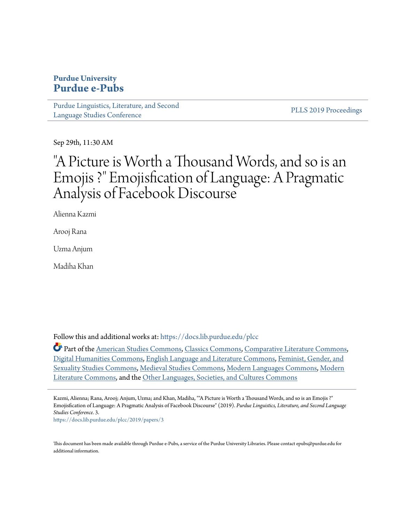# **Purdue University [Purdue e-Pubs](https://docs.lib.purdue.edu/?utm_source=docs.lib.purdue.edu%2Fplcc%2F2019%2Fpapers%2F3&utm_medium=PDF&utm_campaign=PDFCoverPages)**

[Purdue Linguistics, Literature, and Second](https://docs.lib.purdue.edu/plcc?utm_source=docs.lib.purdue.edu%2Fplcc%2F2019%2Fpapers%2F3&utm_medium=PDF&utm_campaign=PDFCoverPages) [Language Studies Conference](https://docs.lib.purdue.edu/plcc?utm_source=docs.lib.purdue.edu%2Fplcc%2F2019%2Fpapers%2F3&utm_medium=PDF&utm_campaign=PDFCoverPages)

[PLLS 2019 Proceedings](https://docs.lib.purdue.edu/plcc/2019?utm_source=docs.lib.purdue.edu%2Fplcc%2F2019%2Fpapers%2F3&utm_medium=PDF&utm_campaign=PDFCoverPages)

Sep 29th, 11:30 AM

# "A Picture is Worth a Thousand Words, and so is an Emojis ?" Emojisfication of Language: A Pragmatic Analysis of Facebook Discourse

Alienna Kazmi

Arooj Rana

Uzma Anjum

Madiha Khan

Follow this and additional works at: [https://docs.lib.purdue.edu/plcc](https://docs.lib.purdue.edu/plcc?utm_source=docs.lib.purdue.edu%2Fplcc%2F2019%2Fpapers%2F3&utm_medium=PDF&utm_campaign=PDFCoverPages)

Part of the [American Studies Commons](http://network.bepress.com/hgg/discipline/439?utm_source=docs.lib.purdue.edu%2Fplcc%2F2019%2Fpapers%2F3&utm_medium=PDF&utm_campaign=PDFCoverPages), [Classics Commons,](http://network.bepress.com/hgg/discipline/446?utm_source=docs.lib.purdue.edu%2Fplcc%2F2019%2Fpapers%2F3&utm_medium=PDF&utm_campaign=PDFCoverPages) [Comparative Literature Commons,](http://network.bepress.com/hgg/discipline/454?utm_source=docs.lib.purdue.edu%2Fplcc%2F2019%2Fpapers%2F3&utm_medium=PDF&utm_campaign=PDFCoverPages) [Digital Humanities Commons,](http://network.bepress.com/hgg/discipline/1286?utm_source=docs.lib.purdue.edu%2Fplcc%2F2019%2Fpapers%2F3&utm_medium=PDF&utm_campaign=PDFCoverPages) [English Language and Literature Commons,](http://network.bepress.com/hgg/discipline/455?utm_source=docs.lib.purdue.edu%2Fplcc%2F2019%2Fpapers%2F3&utm_medium=PDF&utm_campaign=PDFCoverPages) [Feminist, Gender, and](http://network.bepress.com/hgg/discipline/559?utm_source=docs.lib.purdue.edu%2Fplcc%2F2019%2Fpapers%2F3&utm_medium=PDF&utm_campaign=PDFCoverPages) [Sexuality Studies Commons](http://network.bepress.com/hgg/discipline/559?utm_source=docs.lib.purdue.edu%2Fplcc%2F2019%2Fpapers%2F3&utm_medium=PDF&utm_campaign=PDFCoverPages), [Medieval Studies Commons,](http://network.bepress.com/hgg/discipline/480?utm_source=docs.lib.purdue.edu%2Fplcc%2F2019%2Fpapers%2F3&utm_medium=PDF&utm_campaign=PDFCoverPages) [Modern Languages Commons](http://network.bepress.com/hgg/discipline/1130?utm_source=docs.lib.purdue.edu%2Fplcc%2F2019%2Fpapers%2F3&utm_medium=PDF&utm_campaign=PDFCoverPages), [Modern](http://network.bepress.com/hgg/discipline/1050?utm_source=docs.lib.purdue.edu%2Fplcc%2F2019%2Fpapers%2F3&utm_medium=PDF&utm_campaign=PDFCoverPages) [Literature Commons,](http://network.bepress.com/hgg/discipline/1050?utm_source=docs.lib.purdue.edu%2Fplcc%2F2019%2Fpapers%2F3&utm_medium=PDF&utm_campaign=PDFCoverPages) and the [Other Languages, Societies, and Cultures Commons](http://network.bepress.com/hgg/discipline/475?utm_source=docs.lib.purdue.edu%2Fplcc%2F2019%2Fpapers%2F3&utm_medium=PDF&utm_campaign=PDFCoverPages)

Kazmi, Alienna; Rana, Arooj; Anjum, Uzma; and Khan, Madiha, ""A Picture is Worth a Thousand Words, and so is an Emojis ?" Emojisfication of Language: A Pragmatic Analysis of Facebook Discourse" (2019). *Purdue Linguistics, Literature, and Second Language Studies Conference*. 3.

[https://docs.lib.purdue.edu/plcc/2019/papers/3](https://docs.lib.purdue.edu/plcc/2019/papers/3?utm_source=docs.lib.purdue.edu%2Fplcc%2F2019%2Fpapers%2F3&utm_medium=PDF&utm_campaign=PDFCoverPages)

This document has been made available through Purdue e-Pubs, a service of the Purdue University Libraries. Please contact epubs@purdue.edu for additional information.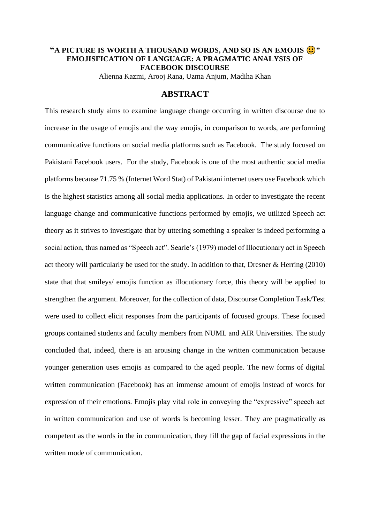# **"A PICTURE IS WORTH A THOUSAND WORDS, AND SO IS AN EMOJIS**  $\bigodot$ **" EMOJISFICATION OF LANGUAGE: A PRAGMATIC ANALYSIS OF FACEBOOK DISCOURSE**

Alienna Kazmi, Arooj Rana, Uzma Anjum, Madiha Khan

# **ABSTRACT**

This research study aims to examine language change occurring in written discourse due to increase in the usage of emojis and the way emojis, in comparison to words, are performing communicative functions on social media platforms such as Facebook. The study focused on Pakistani Facebook users. For the study, Facebook is one of the most authentic social media platforms because 71.75 % (Internet Word Stat) of Pakistani internet users use Facebook which is the highest statistics among all social media applications. In order to investigate the recent language change and communicative functions performed by emojis, we utilized Speech act theory as it strives to investigate that by uttering something a speaker is indeed performing a social action, thus named as "Speech act". Searle's (1979) model of Illocutionary act in Speech act theory will particularly be used for the study. In addition to that, Dresner & Herring (2010) state that that smileys/ emojis function as illocutionary force, this theory will be applied to strengthen the argument. Moreover, for the collection of data, Discourse Completion Task/Test were used to collect elicit responses from the participants of focused groups. These focused groups contained students and faculty members from NUML and AIR Universities. The study concluded that, indeed, there is an arousing change in the written communication because younger generation uses emojis as compared to the aged people. The new forms of digital written communication (Facebook) has an immense amount of emojis instead of words for expression of their emotions. Emojis play vital role in conveying the "expressive" speech act in written communication and use of words is becoming lesser. They are pragmatically as competent as the words in the in communication, they fill the gap of facial expressions in the written mode of communication.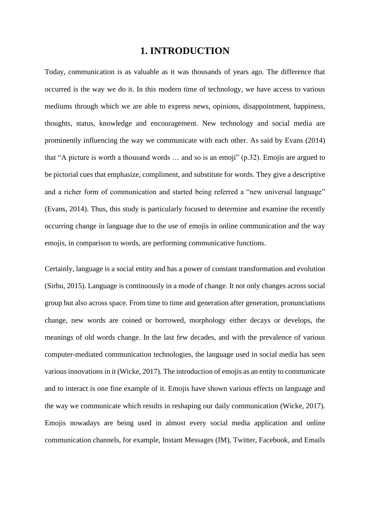# **1. INTRODUCTION**

Today, communication is as valuable as it was thousands of years ago. The difference that occurred is the way we do it. In this modern time of technology, we have access to various mediums through which we are able to express news, opinions, disappointment, happiness, thoughts, status, knowledge and encouragement. New technology and social media are prominently influencing the way we communicate with each other. As said by Evans (2014) that "A picture is worth a thousand words … and so is an emoji" (p.32). Emojis are argued to be pictorial cues that emphasize, compliment, and substitute for words. They give a descriptive and a richer form of communication and started being referred a "new universal language" (Evans, 2014). Thus, this study is particularly focused to determine and examine the recently occurring change in language due to the use of emojis in online communication and the way emojis, in comparison to words, are performing communicative functions.

Certainly, language is a social entity and has a power of constant transformation and evolution (Sirbu, 2015). Language is continuously in a mode of change. It not only changes across social group but also across space. From time to time and generation after generation, pronunciations change, new words are coined or borrowed, morphology either decays or develops, the meanings of old words change. In the last few decades, and with the prevalence of various computer-mediated communication technologies, the language used in social media has seen various innovations in it (Wicke, 2017). The introduction of emojis as an entity to communicate and to interact is one fine example of it. Emojis have shown various effects on language and the way we communicate which results in reshaping our daily communication (Wicke, 2017). Emojis nowadays are being used in almost every social media application and online communication channels, for example, Instant Messages (IM), Twitter, Facebook, and Emails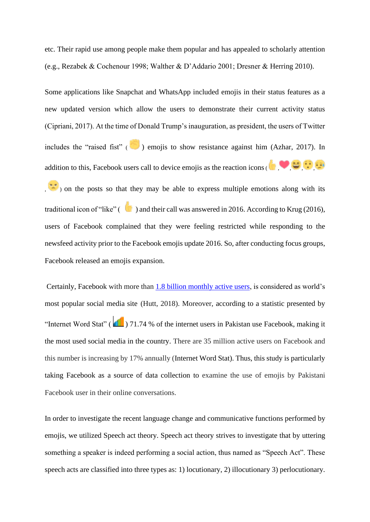etc. Their rapid use among people make them popular and has appealed to scholarly attention (e.g., Rezabek & Cochenour 1998; Walther & D'Addario 2001; Dresner & Herring 2010).

Some applications like Snapchat and WhatsApp included emojis in their status features as a new updated version which allow the users to demonstrate their current activity status (Cipriani, 2017). At the time of Donald Trump's inauguration, as president, the users of Twitter includes the "raised fist"  $\binom{n}{k}$  emojis to show resistance against him (Azhar, 2017). In addition to this, Facebook users call to device emojis as the reaction icons( , , , ,

,  $\left( \frac{1}{2} \right)$  on the posts so that they may be able to express multiple emotions along with its traditional icon of "like"  $($  ) and their call was answered in 2016. According to Krug (2016), users of Facebook complained that they were feeling restricted while responding to the newsfeed activity prior to the Facebook emojis update 2016. So, after conducting focus groups, Facebook released an emojis expansion.

Certainly, Facebook with more than [1.8 billion monthly active users,](http://newsroom.fb.com/company-info/) is considered as world's most popular social media site (Hutt, 2018). Moreover, according to a statistic presented by "Internet Word Stat" ( ) 71.74 % of the internet users in Pakistan use Facebook, making it the most used social media in the country. There are 35 million active users on Facebook and this number is increasing by 17% annually (Internet Word Stat). Thus, this study is particularly taking Facebook as a source of data collection to examine the use of emojis by Pakistani Facebook user in their online conversations.

In order to investigate the recent language change and communicative functions performed by emojis, we utilized Speech act theory. Speech act theory strives to investigate that by uttering something a speaker is indeed performing a social action, thus named as "Speech Act". These speech acts are classified into three types as: 1) locutionary, 2) illocutionary 3) perlocutionary.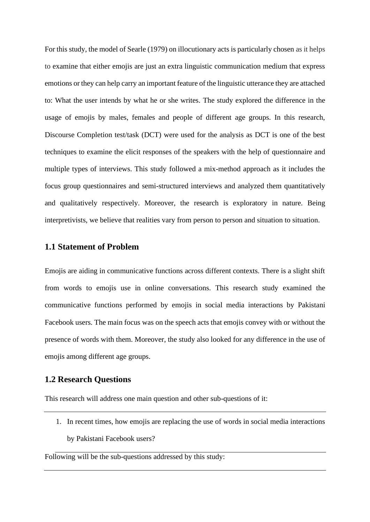For this study, the model of Searle (1979) on illocutionary acts is particularly chosen as it helps to examine that either emojis are just an extra linguistic communication medium that express emotions or they can help carry an important feature of the linguistic utterance they are attached to: What the user intends by what he or she writes. The study explored the difference in the usage of emojis by males, females and people of different age groups. In this research, Discourse Completion test/task (DCT) were used for the analysis as DCT is one of the best techniques to examine the elicit responses of the speakers with the help of questionnaire and multiple types of interviews. This study followed a mix-method approach as it includes the focus group questionnaires and semi-structured interviews and analyzed them quantitatively and qualitatively respectively. Moreover, the research is exploratory in nature. Being interpretivists, we believe that realities vary from person to person and situation to situation.

### **1.1 Statement of Problem**

Emojis are aiding in communicative functions across different contexts. There is a slight shift from words to emojis use in online conversations. This research study examined the communicative functions performed by emojis in social media interactions by Pakistani Facebook users. The main focus was on the speech acts that emojis convey with or without the presence of words with them. Moreover, the study also looked for any difference in the use of emojis among different age groups.

### **1.2 Research Questions**

This research will address one main question and other sub-questions of it:

1. In recent times, how emojis are replacing the use of words in social media interactions by Pakistani Facebook users?

Following will be the sub-questions addressed by this study: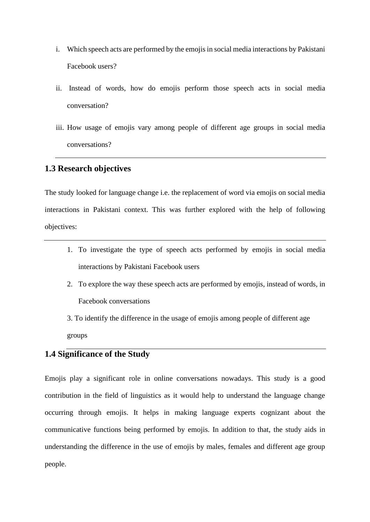- i. Which speech acts are performed by the emojis in social media interactions by Pakistani Facebook users?
- ii. Instead of words, how do emojis perform those speech acts in social media conversation?
- iii. How usage of emojis vary among people of different age groups in social media conversations?

# **1.3 Research objectives**

The study looked for language change i.e. the replacement of word via emojis on social media interactions in Pakistani context. This was further explored with the help of following objectives:

- 1. To investigate the type of speech acts performed by emojis in social media interactions by Pakistani Facebook users
- 2. To explore the way these speech acts are performed by emojis, instead of words, in Facebook conversations

3. To identify the difference in the usage of emojis among people of different age groups

# **1.4 Significance of the Study**

Emojis play a significant role in online conversations nowadays. This study is a good contribution in the field of linguistics as it would help to understand the language change occurring through emojis. It helps in making language experts cognizant about the communicative functions being performed by emojis. In addition to that, the study aids in understanding the difference in the use of emojis by males, females and different age group people.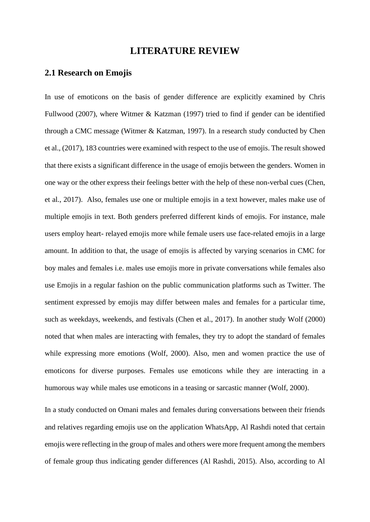# **LITERATURE REVIEW**

### **2.1 Research on Emojis**

In use of emoticons on the basis of gender difference are explicitly examined by Chris Fullwood (2007), where Witmer & Katzman (1997) tried to find if gender can be identified through a CMC message (Witmer & Katzman, 1997). In a research study conducted by Chen et al., (2017), 183 countries were examined with respect to the use of emojis. The result showed that there exists a significant difference in the usage of emojis between the genders. Women in one way or the other express their feelings better with the help of these non-verbal cues (Chen, et al., 2017). Also, females use one or multiple emojis in a text however, males make use of multiple emojis in text. Both genders preferred different kinds of emojis. For instance, male users employ heart- relayed emojis more while female users use face-related emojis in a large amount. In addition to that, the usage of emojis is affected by varying scenarios in CMC for boy males and females i.e. males use emojis more in private conversations while females also use Emojis in a regular fashion on the public communication platforms such as Twitter. The sentiment expressed by emojis may differ between males and females for a particular time, such as weekdays, weekends, and festivals (Chen et al., 2017). In another study Wolf (2000) noted that when males are interacting with females, they try to adopt the standard of females while expressing more emotions (Wolf, 2000). Also, men and women practice the use of emoticons for diverse purposes. Females use emoticons while they are interacting in a humorous way while males use emoticons in a teasing or sarcastic manner (Wolf, 2000).

In a study conducted on Omani males and females during conversations between their friends and relatives regarding emojis use on the application WhatsApp, Al Rashdi noted that certain emojis were reflecting in the group of males and others were more frequent among the members of female group thus indicating gender differences (Al Rashdi, 2015). Also, according to Al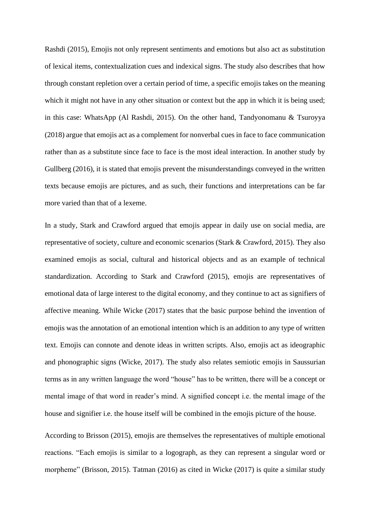Rashdi (2015), Emojis not only represent sentiments and emotions but also act as substitution of lexical items, contextualization cues and indexical signs. The study also describes that how through constant repletion over a certain period of time, a specific emojis takes on the meaning which it might not have in any other situation or context but the app in which it is being used; in this case: WhatsApp (Al Rashdi, 2015). On the other hand, Tandyonomanu & Tsuroyya (2018) argue that emojis act as a complement for nonverbal cues in face to face communication rather than as a substitute since face to face is the most ideal interaction. In another study by Gullberg (2016), it is stated that emojis prevent the misunderstandings conveyed in the written texts because emojis are pictures, and as such, their functions and interpretations can be far more varied than that of a lexeme.

In a study, Stark and Crawford argued that emojis appear in daily use on social media, are representative of society, culture and economic scenarios (Stark & Crawford, 2015). They also examined emojis as social, cultural and historical objects and as an example of technical standardization. According to Stark and Crawford (2015), emojis are representatives of emotional data of large interest to the digital economy, and they continue to act as signifiers of affective meaning. While Wicke (2017) states that the basic purpose behind the invention of emojis was the annotation of an emotional intention which is an addition to any type of written text. Emojis can connote and denote ideas in written scripts. Also, emojis act as ideographic and phonographic signs (Wicke, 2017). The study also relates semiotic emojis in Saussurian terms as in any written language the word "house" has to be written, there will be a concept or mental image of that word in reader's mind. A signified concept i.e. the mental image of the house and signifier i.e. the house itself will be combined in the emojis picture of the house.

According to Brisson (2015), emojis are themselves the representatives of multiple emotional reactions. "Each emojis is similar to a logograph, as they can represent a singular word or morpheme" (Brisson, 2015). Tatman (2016) as cited in Wicke (2017) is quite a similar study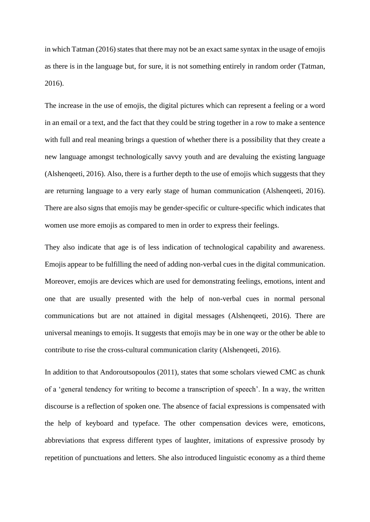in which Tatman (2016) states that there may not be an exact same syntax in the usage of emojis as there is in the language but, for sure, it is not something entirely in random order (Tatman, 2016).

The increase in the use of emojis, the digital pictures which can represent a feeling or a word in an email or a text, and the fact that they could be string together in a row to make a sentence with full and real meaning brings a question of whether there is a possibility that they create a new language amongst technologically savvy youth and are devaluing the existing language (Alshenqeeti, 2016). Also, there is a further depth to the use of emojis which suggests that they are returning language to a very early stage of human communication (Alshenqeeti, 2016). There are also signs that emojis may be gender-specific or culture-specific which indicates that women use more emojis as compared to men in order to express their feelings.

They also indicate that age is of less indication of technological capability and awareness. Emojis appear to be fulfilling the need of adding non-verbal cues in the digital communication. Moreover, emojis are devices which are used for demonstrating feelings, emotions, intent and one that are usually presented with the help of non-verbal cues in normal personal communications but are not attained in digital messages (Alshenqeeti, 2016). There are universal meanings to emojis. It suggests that emojis may be in one way or the other be able to contribute to rise the cross-cultural communication clarity (Alshenqeeti, 2016).

In addition to that Andoroutsopoulos (2011), states that some scholars viewed CMC as chunk of a 'general tendency for writing to become a transcription of speech'. In a way, the written discourse is a reflection of spoken one. The absence of facial expressions is compensated with the help of keyboard and typeface. The other compensation devices were, emoticons, abbreviations that express different types of laughter, imitations of expressive prosody by repetition of punctuations and letters. She also introduced linguistic economy as a third theme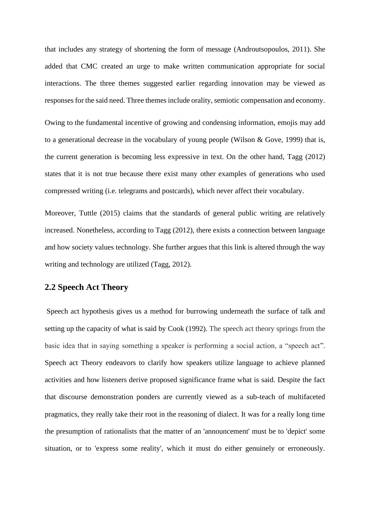that includes any strategy of shortening the form of message (Androutsopoulos, 2011). She added that CMC created an urge to make written communication appropriate for social interactions. The three themes suggested earlier regarding innovation may be viewed as responses for the said need. Three themes include orality, semiotic compensation and economy.

Owing to the fundamental incentive of growing and condensing information, emojis may add to a generational decrease in the vocabulary of young people (Wilson & Gove, 1999) that is, the current generation is becoming less expressive in text. On the other hand, Tagg (2012) states that it is not true because there exist many other examples of generations who used compressed writing (i.e. telegrams and postcards), which never affect their vocabulary.

Moreover, Tuttle (2015) claims that the standards of general public writing are relatively increased. Nonetheless, according to Tagg (2012), there exists a connection between language and how society values technology. She further argues that this link is altered through the way writing and technology are utilized (Tagg, 2012).

# **2.2 Speech Act Theory**

Speech act hypothesis gives us a method for burrowing underneath the surface of talk and setting up the capacity of what is said by Cook (1992). The speech act theory springs from the basic idea that in saying something a speaker is performing a social action, a "speech act". Speech act Theory endeavors to clarify how speakers utilize language to achieve planned activities and how listeners derive proposed significance frame what is said. Despite the fact that discourse demonstration ponders are currently viewed as a sub-teach of multifaceted pragmatics, they really take their root in the reasoning of dialect. It was for a really long time the presumption of rationalists that the matter of an 'announcement' must be to 'depict' some situation, or to 'express some reality', which it must do either genuinely or erroneously.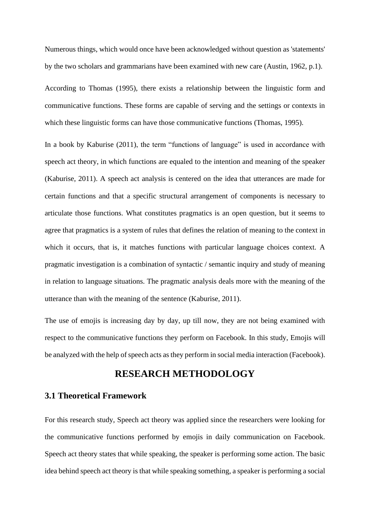Numerous things, which would once have been acknowledged without question as 'statements' by the two scholars and grammarians have been examined with new care (Austin, 1962, p.1).

According to Thomas (1995), there exists a relationship between the linguistic form and communicative functions. These forms are capable of serving and the settings or contexts in which these linguistic forms can have those communicative functions (Thomas, 1995).

In a book by Kaburise (2011), the term "functions of language" is used in accordance with speech act theory, in which functions are equaled to the intention and meaning of the speaker (Kaburise, 2011). A speech act analysis is centered on the idea that utterances are made for certain functions and that a specific structural arrangement of components is necessary to articulate those functions. What constitutes pragmatics is an open question, but it seems to agree that pragmatics is a system of rules that defines the relation of meaning to the context in which it occurs, that is, it matches functions with particular language choices context. A pragmatic investigation is a combination of syntactic / semantic inquiry and study of meaning in relation to language situations. The pragmatic analysis deals more with the meaning of the utterance than with the meaning of the sentence (Kaburise, 2011).

The use of emojis is increasing day by day, up till now, they are not being examined with respect to the communicative functions they perform on Facebook. In this study, Emojis will be analyzed with the help of speech acts as they perform in social media interaction (Facebook).

# **RESEARCH METHODOLOGY**

### **3.1 Theoretical Framework**

For this research study, Speech act theory was applied since the researchers were looking for the communicative functions performed by emojis in daily communication on Facebook. Speech act theory states that while speaking, the speaker is performing some action. The basic idea behind speech act theory is that while speaking something, a speaker is performing a social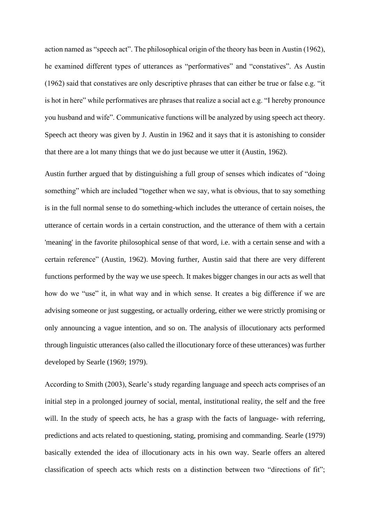action named as "speech act". The philosophical origin of the theory has been in Austin (1962), he examined different types of utterances as "performatives" and "constatives". As Austin (1962) said that constatives are only descriptive phrases that can either be true or false e.g. "it is hot in here" while performatives are phrases that realize a social act e.g. "I hereby pronounce you husband and wife". Communicative functions will be analyzed by using speech act theory. Speech act theory was given by J. Austin in 1962 and it says that it is astonishing to consider that there are a lot many things that we do just because we utter it (Austin, 1962).

Austin further argued that by distinguishing a full group of senses which indicates of "doing something" which are included "together when we say, what is obvious, that to say something is in the full normal sense to do something-which includes the utterance of certain noises, the utterance of certain words in a certain construction, and the utterance of them with a certain 'meaning' in the favorite philosophical sense of that word, i.e. with a certain sense and with a certain reference" (Austin, 1962). Moving further, Austin said that there are very different functions performed by the way we use speech. It makes bigger changes in our acts as well that how do we "use" it, in what way and in which sense. It creates a big difference if we are advising someone or just suggesting, or actually ordering, either we were strictly promising or only announcing a vague intention, and so on. The analysis of illocutionary acts performed through linguistic utterances (also called the illocutionary force of these utterances) was further developed by Searle (1969; 1979).

According to Smith (2003), Searle's study regarding language and speech acts comprises of an initial step in a prolonged journey of social, mental, institutional reality, the self and the free will. In the study of speech acts, he has a grasp with the facts of language- with referring, predictions and acts related to questioning, stating, promising and commanding. Searle (1979) basically extended the idea of illocutionary acts in his own way. Searle offers an altered classification of speech acts which rests on a distinction between two "directions of fit";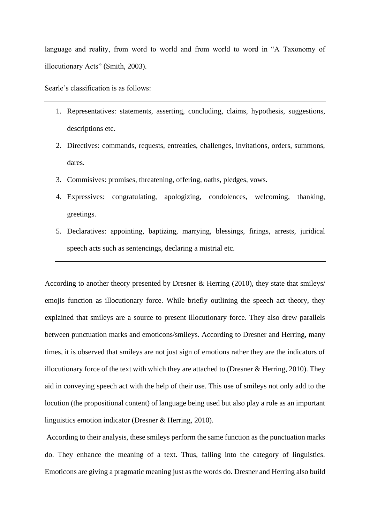language and reality, from word to world and from world to word in "A Taxonomy of illocutionary Acts" (Smith, 2003).

Searle's classification is as follows:

- 1. Representatives: statements, asserting, concluding, claims, hypothesis, suggestions, descriptions etc.
- 2. Directives: commands, requests, entreaties, challenges, invitations, orders, summons, dares.
- 3. Commisives: promises, threatening, offering, oaths, pledges, vows.
- 4. Expressives: congratulating, apologizing, condolences, welcoming, thanking, greetings.
- 5. Declaratives: appointing, baptizing, marrying, blessings, firings, arrests, juridical speech acts such as sentencings, declaring a mistrial etc.

According to another theory presented by Dresner & Herring (2010), they state that smileys/ emojis function as illocutionary force. While briefly outlining the speech act theory, they explained that smileys are a source to present illocutionary force. They also drew parallels between punctuation marks and emoticons/smileys. According to Dresner and Herring, many times, it is observed that smileys are not just sign of emotions rather they are the indicators of illocutionary force of the text with which they are attached to (Dresner & Herring, 2010). They aid in conveying speech act with the help of their use. This use of smileys not only add to the locution (the propositional content) of language being used but also play a role as an important linguistics emotion indicator (Dresner & Herring, 2010).

According to their analysis, these smileys perform the same function as the punctuation marks do. They enhance the meaning of a text. Thus, falling into the category of linguistics. Emoticons are giving a pragmatic meaning just as the words do. Dresner and Herring also build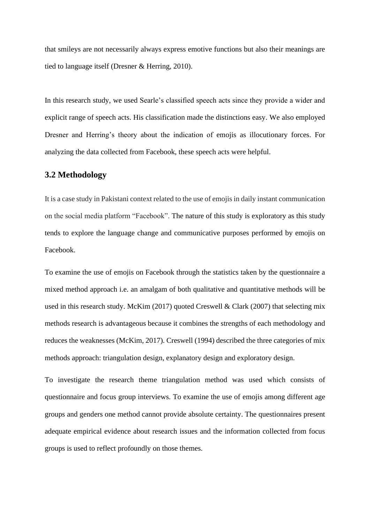that smileys are not necessarily always express emotive functions but also their meanings are tied to language itself (Dresner & Herring, 2010).

In this research study, we used Searle's classified speech acts since they provide a wider and explicit range of speech acts. His classification made the distinctions easy. We also employed Dresner and Herring's theory about the indication of emojis as illocutionary forces. For analyzing the data collected from Facebook, these speech acts were helpful.

# **3.2 Methodology**

It is a case study in Pakistani context related to the use of emojis in daily instant communication on the social media platform "Facebook". The nature of this study is exploratory as this study tends to explore the language change and communicative purposes performed by emojis on Facebook.

To examine the use of emojis on Facebook through the statistics taken by the questionnaire a mixed method approach i.e. an amalgam of both qualitative and quantitative methods will be used in this research study. McKim (2017) quoted Creswell & Clark (2007) that selecting mix methods research is advantageous because it combines the strengths of each methodology and reduces the weaknesses (McKim, 2017). Creswell (1994) described the three categories of mix methods approach: triangulation design, explanatory design and exploratory design.

To investigate the research theme triangulation method was used which consists of questionnaire and focus group interviews. To examine the use of emojis among different age groups and genders one method cannot provide absolute certainty. The questionnaires present adequate empirical evidence about research issues and the information collected from focus groups is used to reflect profoundly on those themes.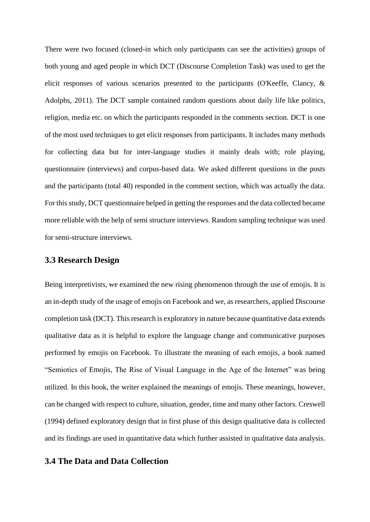There were two focused (closed-in which only participants can see the activities) groups of both young and aged people in which DCT (Discourse Completion Task) was used to get the elicit responses of various scenarios presented to the participants (O'Keeffe, Clancy, & Adolphs, 2011). The DCT sample contained random questions about daily life like politics, religion, media etc. on which the participants responded in the comments section. DCT is one of the most used techniques to get elicit responses from participants. It includes many methods for collecting data but for inter-language studies it mainly deals with; role playing, questionnaire (interviews) and corpus-based data. We asked different questions in the posts and the participants (total 40) responded in the comment section, which was actually the data. For this study, DCT questionnaire helped in getting the responses and the data collected became more reliable with the help of semi structure interviews. Random sampling technique was used for semi-structure interviews.

### **3.3 Research Design**

Being interpretivists, we examined the new rising phenomenon through the use of emojis. It is an in-depth study of the usage of emojis on Facebook and we, as researchers, applied Discourse completion task (DCT). This research is exploratory in nature because quantitative data extends qualitative data as it is helpful to explore the language change and communicative purposes performed by emojis on Facebook. To illustrate the meaning of each emojis, a book named "Semiotics of Emojis, The Rise of Visual Language in the Age of the Internet" was being utilized. In this book, the writer explained the meanings of emojis. These meanings, however, can be changed with respect to culture, situation, gender, time and many other factors. Creswell (1994) defined exploratory design that in first phase of this design qualitative data is collected and its findings are used in quantitative data which further assisted in qualitative data analysis.

# **3.4 The Data and Data Collection**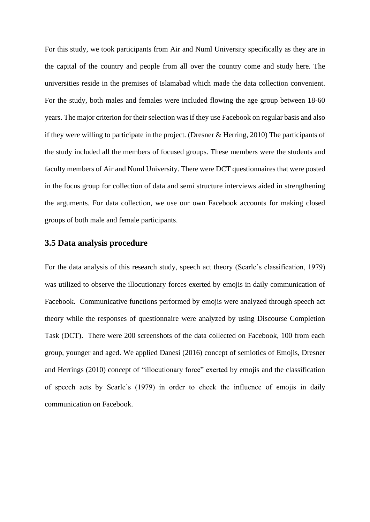For this study, we took participants from Air and Numl University specifically as they are in the capital of the country and people from all over the country come and study here. The universities reside in the premises of Islamabad which made the data collection convenient. For the study, both males and females were included flowing the age group between 18-60 years. The major criterion for their selection was if they use Facebook on regular basis and also if they were willing to participate in the project. (Dresner & Herring, 2010) The participants of the study included all the members of focused groups. These members were the students and faculty members of Air and Numl University. There were DCT questionnaires that were posted in the focus group for collection of data and semi structure interviews aided in strengthening the arguments. For data collection, we use our own Facebook accounts for making closed groups of both male and female participants.

# **3.5 Data analysis procedure**

For the data analysis of this research study, speech act theory (Searle's classification, 1979) was utilized to observe the illocutionary forces exerted by emojis in daily communication of Facebook. Communicative functions performed by emojis were analyzed through speech act theory while the responses of questionnaire were analyzed by using Discourse Completion Task (DCT). There were 200 screenshots of the data collected on Facebook, 100 from each group, younger and aged. We applied Danesi (2016) concept of semiotics of Emojis, Dresner and Herrings (2010) concept of "illocutionary force" exerted by emojis and the classification of speech acts by Searle's (1979) in order to check the influence of emojis in daily communication on Facebook.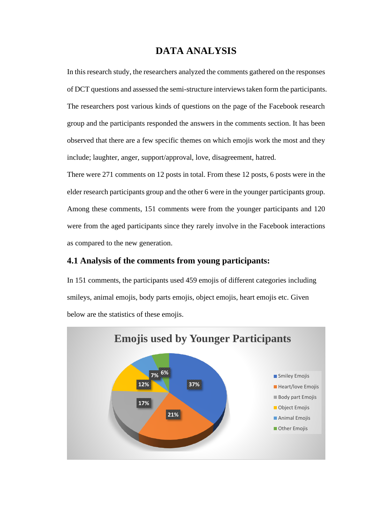# **DATA ANALYSIS**

In this research study, the researchers analyzed the comments gathered on the responses of DCT questions and assessed the semi-structure interviews taken form the participants. The researchers post various kinds of questions on the page of the Facebook research group and the participants responded the answers in the comments section. It has been observed that there are a few specific themes on which emojis work the most and they include; laughter, anger, support/approval, love, disagreement, hatred.

There were 271 comments on 12 posts in total. From these 12 posts, 6 posts were in the elder research participants group and the other 6 were in the younger participants group. Among these comments, 151 comments were from the younger participants and 120 were from the aged participants since they rarely involve in the Facebook interactions as compared to the new generation.

# **4.1 Analysis of the comments from young participants:**

In 151 comments, the participants used 459 emojis of different categories including smileys, animal emojis, body parts emojis, object emojis, heart emojis etc. Given below are the statistics of these emojis.

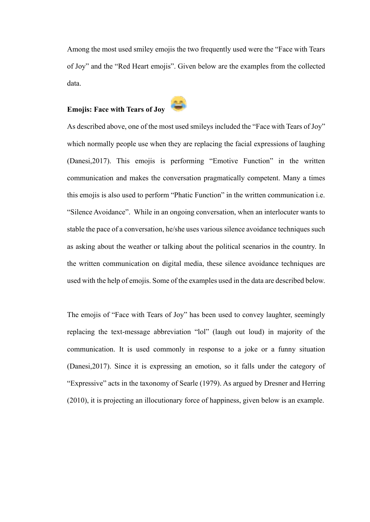Among the most used smiley emojis the two frequently used were the "Face with Tears of Joy" and the "Red Heart emojis". Given below are the examples from the collected data.

# **Emojis: Face with Tears of Joy**



As described above, one of the most used smileys included the "Face with Tears of Joy" which normally people use when they are replacing the facial expressions of laughing (Danesi,2017). This emojis is performing "Emotive Function" in the written communication and makes the conversation pragmatically competent. Many a times this emojis is also used to perform "Phatic Function" in the written communication i.e. "Silence Avoidance". While in an ongoing conversation, when an interlocuter wants to stable the pace of a conversation, he/she uses various silence avoidance techniques such as asking about the weather or talking about the political scenarios in the country. In the written communication on digital media, these silence avoidance techniques are used with the help of emojis. Some of the examples used in the data are described below.

The emojis of "Face with Tears of Joy" has been used to convey laughter, seemingly replacing the text-message abbreviation "lol" (laugh out loud) in majority of the communication. It is used commonly in response to a joke or a funny situation (Danesi,2017). Since it is expressing an emotion, so it falls under the category of "Expressive" acts in the taxonomy of Searle (1979). As argued by Dresner and Herring (2010), it is projecting an illocutionary force of happiness, given below is an example.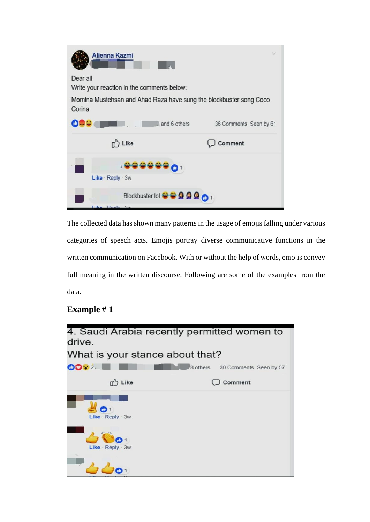

The collected data has shown many patterns in the usage of emojis falling under various categories of speech acts. Emojis portray diverse communicative functions in the written communication on Facebook. With or without the help of words, emojis convey full meaning in the written discourse. Following are some of the examples from the data.

# **Example # 1**

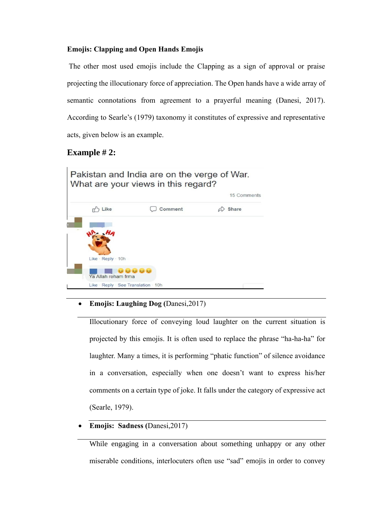### **Emojis: Clapping and Open Hands Emojis**

The other most used emojis include the Clapping as a sign of approval or praise projecting the illocutionary force of appreciation. The Open hands have a wide array of semantic connotations from agreement to a prayerful meaning (Danesi, 2017). According to Searle's (1979) taxonomy it constitutes of expressive and representative acts, given below is an example.

# **Example # 2:**



# • **Emojis: Laughing Dog (**Danesi,2017)

Illocutionary force of conveying loud laughter on the current situation is projected by this emojis. It is often used to replace the phrase "ha-ha-ha" for laughter. Many a times, it is performing "phatic function" of silence avoidance in a conversation, especially when one doesn't want to express his/her comments on a certain type of joke. It falls under the category of expressive act (Searle, 1979).

• **Emojis: Sadness (**Danesi,2017)

While engaging in a conversation about something unhappy or any other miserable conditions, interlocuters often use "sad" emojis in order to convey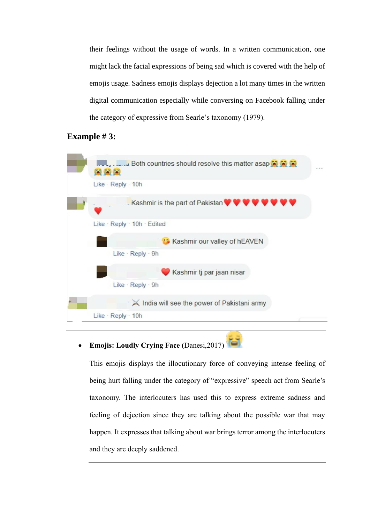their feelings without the usage of words. In a written communication, one might lack the facial expressions of being sad which is covered with the help of emojis usage. Sadness emojis displays dejection a lot many times in the written digital communication especially while conversing on Facebook falling under the category of expressive from Searle's taxonomy (1979).

# **Example # 3:**



• **Emojis: Loudly Crying Face (**Danesi,2017)

This emojis displays the illocutionary force of conveying intense feeling of being hurt falling under the category of "expressive" speech act from Searle's taxonomy. The interlocuters has used this to express extreme sadness and feeling of dejection since they are talking about the possible war that may happen. It expresses that talking about war brings terror among the interlocuters and they are deeply saddened.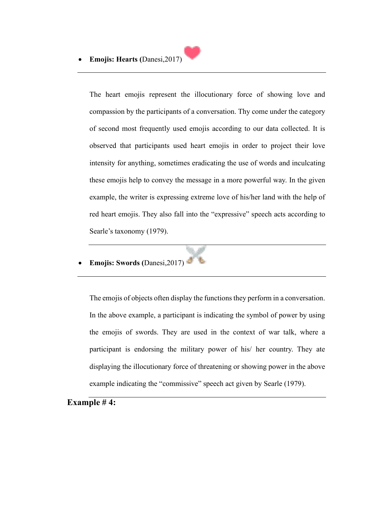

The heart emojis represent the illocutionary force of showing love and compassion by the participants of a conversation. Thy come under the category of second most frequently used emojis according to our data collected. It is observed that participants used heart emojis in order to project their love intensity for anything, sometimes eradicating the use of words and inculcating these emojis help to convey the message in a more powerful way. In the given example, the writer is expressing extreme love of his/her land with the help of red heart emojis. They also fall into the "expressive" speech acts according to Searle's taxonomy (1979).

• **Emojis: Swords (**Danesi,2017)

The emojis of objects often display the functions they perform in a conversation. In the above example, a participant is indicating the symbol of power by using the emojis of swords. They are used in the context of war talk, where a participant is endorsing the military power of his/ her country. They ate displaying the illocutionary force of threatening or showing power in the above example indicating the "commissive" speech act given by Searle (1979).

**Example # 4:**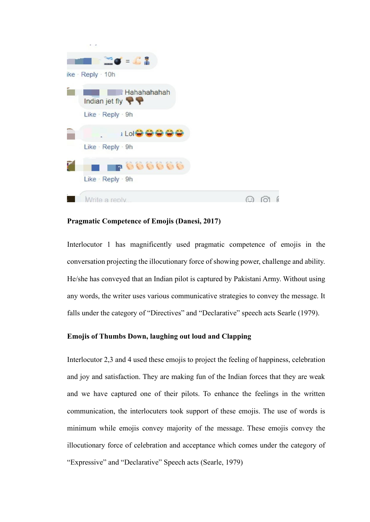| $\blacksquare$ $\blacksquare$ $\blacksquare$ $\blacksquare$ $\blacksquare$ $\blacksquare$ $\blacksquare$ $\blacksquare$ $\blacksquare$ $\blacksquare$ $\blacksquare$ $\blacksquare$ $\blacksquare$ $\blacksquare$ $\blacksquare$ $\blacksquare$ $\blacksquare$ $\blacksquare$ $\blacksquare$ $\blacksquare$ $\blacksquare$ $\blacksquare$ $\blacksquare$ $\blacksquare$ $\blacksquare$ $\blacksquare$ $\blacksquare$ $\blacksquare$ $\blacksquare$ $\blacksquare$ $\blacksquare$ $\blacks$<br>ike · Reply · 10h<br>Hahahahahah |           |
|--------------------------------------------------------------------------------------------------------------------------------------------------------------------------------------------------------------------------------------------------------------------------------------------------------------------------------------------------------------------------------------------------------------------------------------------------------------------------------------------------------------------------------|-----------|
|                                                                                                                                                                                                                                                                                                                                                                                                                                                                                                                                |           |
|                                                                                                                                                                                                                                                                                                                                                                                                                                                                                                                                |           |
| Indian jet fly                                                                                                                                                                                                                                                                                                                                                                                                                                                                                                                 |           |
| Like · Reply · 9h                                                                                                                                                                                                                                                                                                                                                                                                                                                                                                              |           |
| <b>i Lol<del>o</del></b>                                                                                                                                                                                                                                                                                                                                                                                                                                                                                                       |           |
| Like · Reply · 9h                                                                                                                                                                                                                                                                                                                                                                                                                                                                                                              |           |
| <b>P000000</b>                                                                                                                                                                                                                                                                                                                                                                                                                                                                                                                 |           |
| Like · Reply · 9h                                                                                                                                                                                                                                                                                                                                                                                                                                                                                                              |           |
| Write a reply                                                                                                                                                                                                                                                                                                                                                                                                                                                                                                                  | $(\cdot)$ |

### **Pragmatic Competence of Emojis (Danesi, 2017)**

Interlocutor 1 has magnificently used pragmatic competence of emojis in the conversation projecting the illocutionary force of showing power, challenge and ability. He/she has conveyed that an Indian pilot is captured by Pakistani Army. Without using any words, the writer uses various communicative strategies to convey the message. It falls under the category of "Directives" and "Declarative" speech acts Searle (1979).

### **Emojis of Thumbs Down, laughing out loud and Clapping**

Interlocutor 2,3 and 4 used these emojis to project the feeling of happiness, celebration and joy and satisfaction. They are making fun of the Indian forces that they are weak and we have captured one of their pilots. To enhance the feelings in the written communication, the interlocuters took support of these emojis. The use of words is minimum while emojis convey majority of the message. These emojis convey the illocutionary force of celebration and acceptance which comes under the category of "Expressive" and "Declarative" Speech acts (Searle, 1979)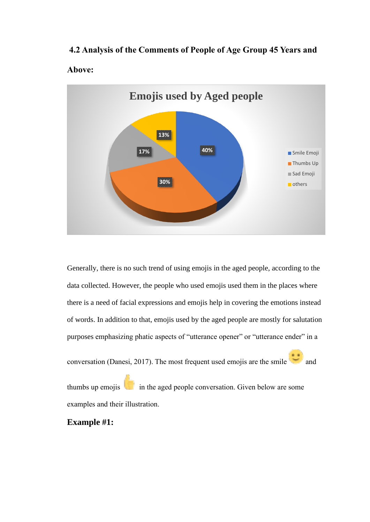# **4.2 Analysis of the Comments of People of Age Group 45 Years and**





Generally, there is no such trend of using emojis in the aged people, according to the data collected. However, the people who used emojis used them in the places where there is a need of facial expressions and emojis help in covering the emotions instead of words. In addition to that, emojis used by the aged people are mostly for salutation purposes emphasizing phatic aspects of "utterance opener" or "utterance ender" in a

conversation (Danesi, 2017). The most frequent used emojis are the smile  $\overline{\phantom{a}}$  and

thumbs up emojis  $\mathbf{I}$  in the aged people conversation. Given below are some examples and their illustration.

# **Example #1:**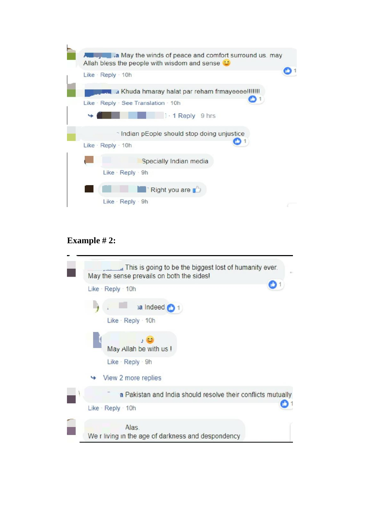| <b>Eventual</b> a May the winds of peace and comfort surround us. may<br>Allah bless the people with wisdom and sense C |  |
|-------------------------------------------------------------------------------------------------------------------------|--|
| Like $\cdot$ Reply $\cdot$ 10h                                                                                          |  |
| a Khuda hmaray halat par reham frmayeeee!!!!!!!                                                                         |  |
| Like · Reply · See Translation · 10h                                                                                    |  |
| $1 - 1$ Reply 9 hrs                                                                                                     |  |
| ↑ Indian pEople should stop doing unjustice                                                                             |  |
| Like $\cdot$ Reply $\cdot$ 10h                                                                                          |  |
| Specially Indian media                                                                                                  |  |
| Like · Reply · 9h                                                                                                       |  |
| Right you are                                                                                                           |  |
| Like $\cdot$ Reply $\cdot$ 9h                                                                                           |  |

# **Example # 2:**

| This is going to be the biggest lost of humanity ever.<br>$\cdots$<br>May the sense prevails on both the sides! |
|-----------------------------------------------------------------------------------------------------------------|
| Like Reply 10h                                                                                                  |
| $i$ a Indeed $i$ 1<br>Like · Reply · 10h                                                                        |
| May Allah be with us !                                                                                          |
| Like · Reply · 9h                                                                                               |
| View 2 more replies                                                                                             |
| a Pakistan and India should resolve their conflicts mutually                                                    |
| Like $\cdot$ Reply $\cdot$ 10h                                                                                  |
| Alas.<br>We r living in the age of darkness and despondency                                                     |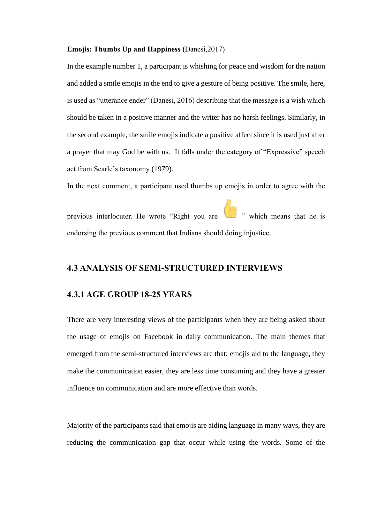#### **Emojis: Thumbs Up and Happiness (**Danesi,2017)

In the example number 1, a participant is whishing for peace and wisdom for the nation and added a smile emojis in the end to give a gesture of being positive. The smile, here, is used as "utterance ender" (Danesi, 2016) describing that the message is a wish which should be taken in a positive manner and the writer has no harsh feelings. Similarly, in the second example, the smile emojis indicate a positive affect since it is used just after a prayer that may God be with us. It falls under the category of "Expressive" speech act from Searle's taxonomy (1979).

In the next comment, a participant used thumbs up emojis in order to agree with the

previous interlocuter. He wrote "Right you are  $\Box$ " which means that he is endorsing the previous comment that Indians should doing injustice.

# **4.3 ANALYSIS OF SEMI-STRUCTURED INTERVIEWS**

### **4.3.1 AGE GROUP 18-25 YEARS**

There are very interesting views of the participants when they are being asked about the usage of emojis on Facebook in daily communication. The main themes that emerged from the semi-structured interviews are that; emojis aid to the language, they make the communication easier, they are less time consuming and they have a greater influence on communication and are more effective than words.

Majority of the participants said that emojis are aiding language in many ways, they are reducing the communication gap that occur while using the words. Some of the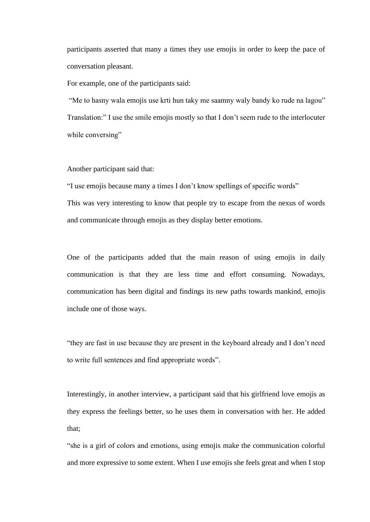participants asserted that many a times they use emojis in order to keep the pace of conversation pleasant.

For example, one of the participants said:

"Me to hasny wala emojis use krti hun taky me saamny waly bandy ko rude na lagou" Translation:" I use the smile emojis mostly so that I don't seem rude to the interlocuter while conversing"

Another participant said that:

"I use emojis because many a times I don't know spellings of specific words" This was very interesting to know that people try to escape from the nexus of words and communicate through emojis as they display better emotions.

One of the participants added that the main reason of using emojis in daily communication is that they are less time and effort consuming. Nowadays, communication has been digital and findings its new paths towards mankind, emojis include one of those ways.

"they are fast in use because they are present in the keyboard already and I don't need to write full sentences and find appropriate words".

Interestingly, in another interview, a participant said that his girlfriend love emojis as they express the feelings better, so he uses them in conversation with her. He added that;

"she is a girl of colors and emotions, using emojis make the communication colorful and more expressive to some extent. When I use emojis she feels great and when I stop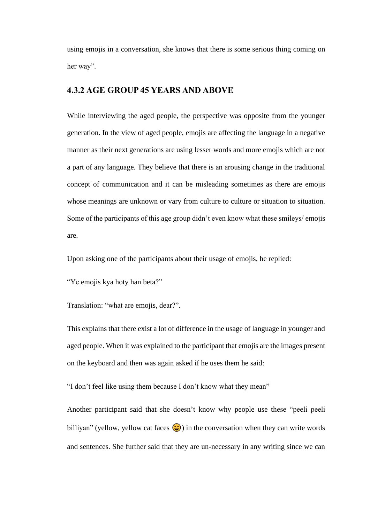using emojis in a conversation, she knows that there is some serious thing coming on her way".

# **4.3.2 AGE GROUP 45 YEARS AND ABOVE**

While interviewing the aged people, the perspective was opposite from the younger generation. In the view of aged people, emojis are affecting the language in a negative manner as their next generations are using lesser words and more emojis which are not a part of any language. They believe that there is an arousing change in the traditional concept of communication and it can be misleading sometimes as there are emojis whose meanings are unknown or vary from culture to culture or situation to situation. Some of the participants of this age group didn't even know what these smileys/ emojis are.

Upon asking one of the participants about their usage of emojis, he replied:

"Ye emojis kya hoty han beta?"

Translation: "what are emojis, dear?".

This explains that there exist a lot of difference in the usage of language in younger and aged people. When it was explained to the participant that emojis are the images present on the keyboard and then was again asked if he uses them he said:

"I don't feel like using them because I don't know what they mean"

Another participant said that she doesn't know why people use these "peeli peeli billiyan" (yellow, yellow cat faces  $\bigodot$ ) in the conversation when they can write words and sentences. She further said that they are un-necessary in any writing since we can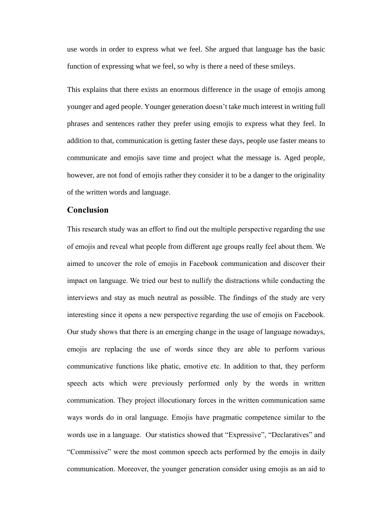use words in order to express what we feel. She argued that language has the basic function of expressing what we feel, so why is there a need of these smileys.

This explains that there exists an enormous difference in the usage of emojis among younger and aged people. Younger generation doesn't take much interest in writing full phrases and sentences rather they prefer using emojis to express what they feel. In addition to that, communication is getting faster these days, people use faster means to communicate and emojis save time and project what the message is. Aged people, however, are not fond of emojis rather they consider it to be a danger to the originality of the written words and language.

### **Conclusion**

This research study was an effort to find out the multiple perspective regarding the use of emojis and reveal what people from different age groups really feel about them. We aimed to uncover the role of emojis in Facebook communication and discover their impact on language. We tried our best to nullify the distractions while conducting the interviews and stay as much neutral as possible. The findings of the study are very interesting since it opens a new perspective regarding the use of emojis on Facebook. Our study shows that there is an emerging change in the usage of language nowadays, emojis are replacing the use of words since they are able to perform various communicative functions like phatic, emotive etc. In addition to that, they perform speech acts which were previously performed only by the words in written communication. They project illocutionary forces in the written communication same ways words do in oral language. Emojis have pragmatic competence similar to the words use in a language. Our statistics showed that "Expressive", "Declaratives" and "Commissive" were the most common speech acts performed by the emojis in daily communication. Moreover, the younger generation consider using emojis as an aid to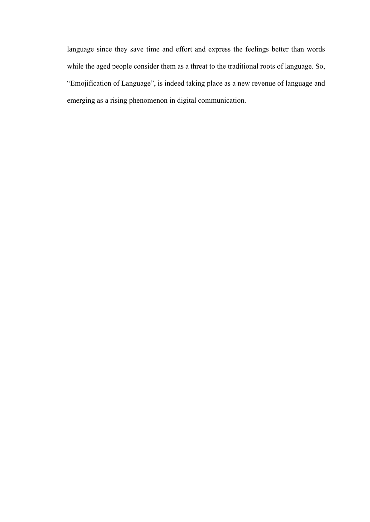language since they save time and effort and express the feelings better than words while the aged people consider them as a threat to the traditional roots of language. So, "Emojification of Language", is indeed taking place as a new revenue of language and emerging as a rising phenomenon in digital communication.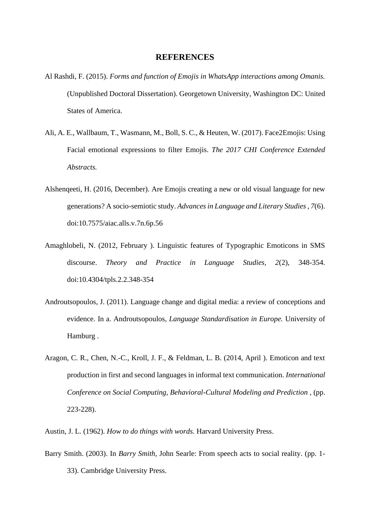### **REFERENCES**

- Al Rashdi, F. (2015). *Forms and function of Emojis in WhatsApp interactions among Omanis.* (Unpublished Doctoral Dissertation). Georgetown University, Washington DC: United States of America.
- Ali, A. E., Wallbaum, T., Wasmann, M., Boll, S. C., & Heuten, W. (2017). Face2Emojis: Using Facial emotional expressions to filter Emojis. *The 2017 CHI Conference Extended Abstracts.*
- Alshenqeeti, H. (2016, December). Are Emojis creating a new or old visual language for new generations? A socio-semiotic study. *Advances in Language and Literary Studies , 7*(6). doi:10.7575/aiac.alls.v.7n.6p.56
- Amaghlobeli, N. (2012, February ). Linguistic features of Typographic Emoticons in SMS discourse. *Theory and Practice in Language Studies, 2*(2), 348-354. doi:10.4304/tpls.2.2.348-354
- Androutsopoulos, J. (2011). Language change and digital media: a review of conceptions and evidence. In a. Androutsopoulos, *Language Standardisation in Europe.* University of Hamburg .
- Aragon, C. R., Chen, N.-C., Kroll, J. F., & Feldman, L. B. (2014, April ). Emoticon and text production in first and second languages in informal text communication. *International Conference on Social Computing, Behavioral-Cultural Modeling and Prediction* , (pp. 223-228).

Austin, J. L. (1962). *How to do things with words.* Harvard University Press.

Barry Smith. (2003). In *Barry Smith*, John Searle: From speech acts to social reality. (pp. 1- 33). Cambridge University Press.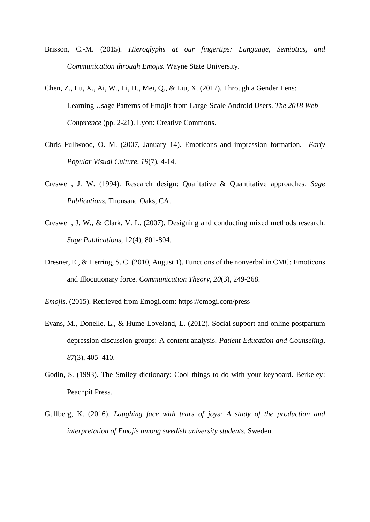- Brisson, C.-M. (2015). *Hieroglyphs at our fingertips: Language, Semiotics, and Communication through Emojis.* Wayne State University.
- Chen, Z., Lu, X., Ai, W., Li, H., Mei, Q., & Liu, X. (2017). Through a Gender Lens: Learning Usage Patterns of Emojis from Large-Scale Android Users. *The 2018 Web Conference* (pp. 2-21). Lyon: Creative Commons.
- Chris Fullwood, O. M. (2007, January 14). Emoticons and impression formation. *Early Popular Visual Culture, 19*(7), 4-14.
- Creswell, J. W. (1994). Research design: Qualitative & Quantitative approaches*. Sage Publications.* Thousand Oaks, CA.
- Creswell, J. W., & Clark, V. L. (2007). Designing and conducting mixed methods research*. Sage Publications,* 12(4), 801-804.
- Dresner, E., & Herring, S. C. (2010, August 1). Functions of the nonverbal in CMC: Emoticons and Illocutionary force. *Communication Theory, 20*(3), 249-268.
- *Emojis*. (2015). Retrieved from Emogi.com: https://emogi.com/press
- Evans, M., Donelle, L., & Hume-Loveland, L. (2012). Social support and online postpartum depression discussion groups: A content analysis. *Patient Education and Counseling*, *87*(3), 405–410.
- Godin, S. (1993). The Smiley dictionary: Cool things to do with your keyboard. Berkeley: Peachpit Press.
- Gullberg, K. (2016). *Laughing face with tears of joys: A study of the production and interpretation of Emojis among swedish university students.* Sweden.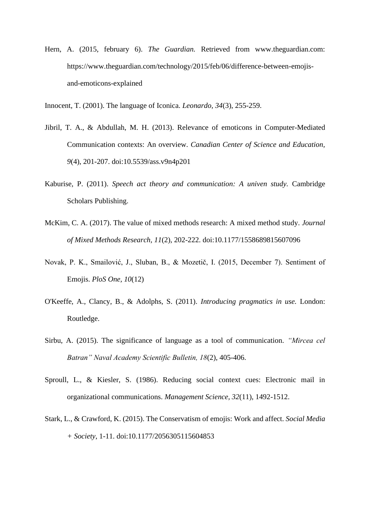- Hern, A. (2015, february 6). *The Guardian.* Retrieved from www.theguardian.com: https://www.theguardian.com/technology/2015/feb/06/difference-between-emojisand-emoticons-explained
- Innocent, T. (2001). The language of Iconica. *Leonardo, 34*(3), 255-259.
- Jibril, T. A., & Abdullah, M. H. (2013). Relevance of emoticons in Computer-Mediated Communication contexts: An overview. *Canadian Center of Science and Education, 9*(4), 201-207. doi:10.5539/ass.v9n4p201
- Kaburise, P. (2011). *Speech act theory and communication: A univen study.* Cambridge Scholars Publishing.
- McKim, C. A. (2017). The value of mixed methods research: A mixed method study. *Journal of Mixed Methods Research, 11*(2), 202-222. doi:10.1177/1558689815607096
- Novak, P. K., Smailović, J., Sluban, B., & Mozetič, I. (2015, December 7). Sentiment of Emojis. *PloS One, 10*(12)
- O'Keeffe, A., Clancy, B., & Adolphs, S. (2011). *Introducing pragmatics in use.* London: Routledge.
- Sirbu, A. (2015). The significance of language as a tool of communication. *"Mircea cel Batran" Naval Academy Scientific Bulletin, 18*(2), 405-406.
- Sproull, L., & Kiesler, S. (1986). Reducing social context cues: Electronic mail in organizational communications. *Management Science, 32*(11), 1492-1512.
- Stark, L., & Crawford, K. (2015). The Conservatism of emojis: Work and affect. *Social Media + Society*, 1-11. doi:10.1177/2056305115604853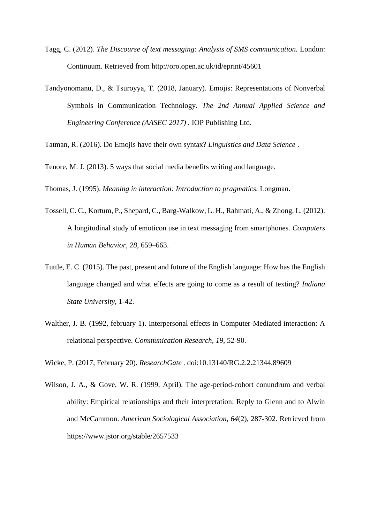- Tagg, C. (2012). *The Discourse of text messaging: Analysis of SMS communication.* London: Continuum. Retrieved from http://oro.open.ac.uk/id/eprint/45601
- Tandyonomanu, D., & Tsuroyya, T. (2018, January). Emojis: Representations of Nonverbal Symbols in Communication Technology. *The 2nd Annual Applied Science and Engineering Conference (AASEC 2017) .* IOP Publishing Ltd.

Tatman, R. (2016). Do Emojis have their own syntax? *Linguistics and Data Science* .

Tenore, M. J. (2013). 5 ways that social media benefits writing and language.

Thomas, J. (1995). *Meaning in interaction: Introduction to pragmatics.* Longman.

- Tossell, C. C., Kortum, P., Shepard, C., Barg-Walkow, L. H., Rahmati, A., & Zhong, L. (2012). A longitudinal study of emoticon use in text messaging from smartphones. *Computers in Human Behavior, 28*, 659–663.
- Tuttle, E. C. (2015). The past, present and future of the English language: How has the English language changed and what effects are going to come as a result of texting? *Indiana State University*, 1-42.
- Walther, J. B. (1992, february 1). Interpersonal effects in Computer-Mediated interaction: A relational perspective. *Communication Research, 19*, 52-90.

Wicke, P. (2017, February 20). *ResearchGate .* doi:10.13140/RG.2.2.21344.89609

Wilson, J. A., & Gove, W. R. (1999, April). The age-period-cohort conundrum and verbal ability: Empirical relationships and their interpretation: Reply to Glenn and to Alwin and McCammon. *American Sociological Association, 64*(2), 287-302. Retrieved from https://www.jstor.org/stable/2657533